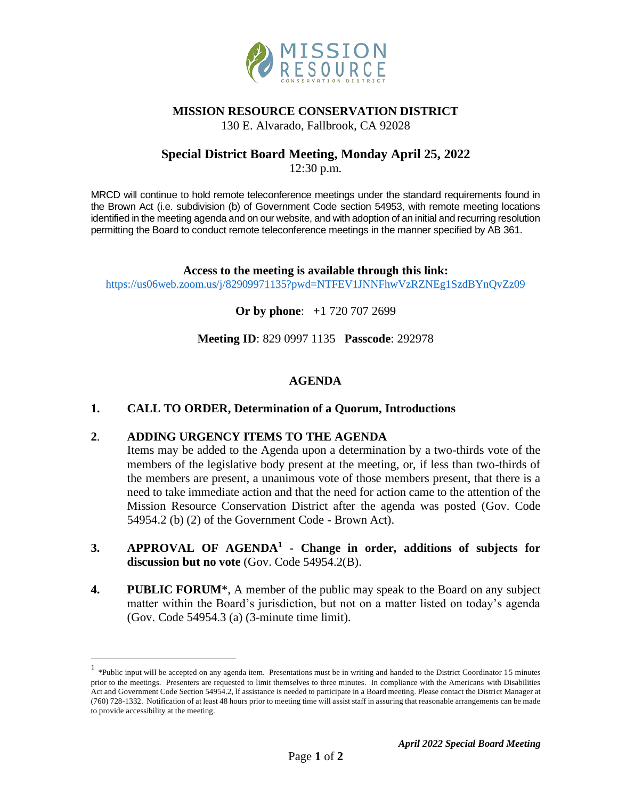

#### **MISSION RESOURCE CONSERVATION DISTRICT**

130 E. Alvarado, Fallbrook, CA 92028

## **Special District Board Meeting, Monday April 25, 2022**

12:30 p.m.

MRCD will continue to hold remote teleconference meetings under the standard requirements found in the Brown Act (i.e. subdivision (b) of Government Code section 54953, with remote meeting locations identified in the meeting agenda and on our website, and with adoption of an initial and recurring resolution permitting the Board to conduct remote teleconference meetings in the manner specified by AB 361.

**Access to the meeting is available through this link:** <https://us06web.zoom.us/j/82909971135?pwd=NTFEV1JNNFhwVzRZNEg1SzdBYnQvZz09>

**Or by phone**: **+**1 720 707 2699

**Meeting ID**: 829 0997 1135 **Passcode**: 292978

### **AGENDA**

### **1. CALL TO ORDER, Determination of a Quorum, Introductions**

#### **2**. **ADDING URGENCY ITEMS TO THE AGENDA**

Items may be added to the Agenda upon a determination by a two-thirds vote of the members of the legislative body present at the meeting, or, if less than two-thirds of the members are present, a unanimous vote of those members present, that there is a need to take immediate action and that the need for action came to the attention of the Mission Resource Conservation District after the agenda was posted (Gov. Code 54954.2 (b) (2) of the Government Code - Brown Act).

- **3. APPROVAL OF AGENDA<sup>1</sup> - Change in order, additions of subjects for discussion but no vote** (Gov. Code 54954.2(B).
- **4. PUBLIC FORUM**\*, A member of the public may speak to the Board on any subject matter within the Board's jurisdiction, but not on a matter listed on today's agenda (Gov. Code 54954.3 (a) (3-minute time limit).

<sup>&</sup>lt;sup>1</sup> \*Public input will be accepted on any agenda item. Presentations must be in writing and handed to the District Coordinator 15 minutes prior to the meetings. Presenters are requested to limit themselves to three minutes. In compliance with the Americans with Disabilities Act and Government Code Section 54954.2, lf assistance is needed to participate in a Board meeting. Please contact the District Manager at (760) 728-1332. Notification of at least 48 hours prior to meeting time will assist staff in assuring that reasonable arrangements can be made to provide accessibility at the meeting.